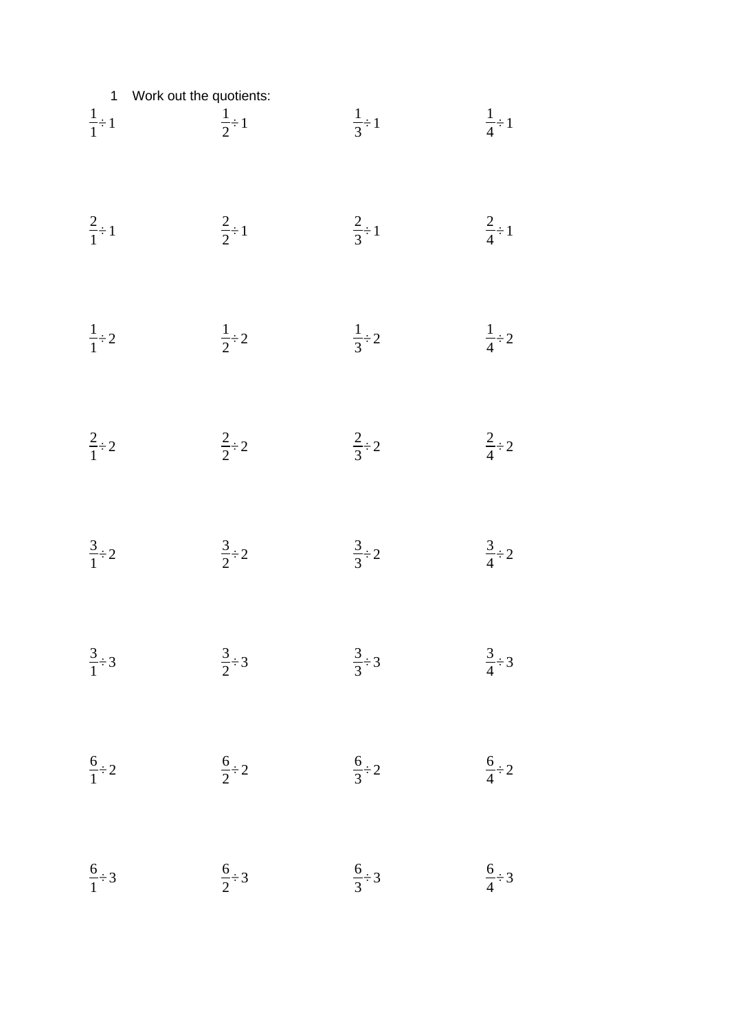1 Work out the quotients:  
\n
$$
\frac{1}{1} \div 1
$$
  $\frac{1}{2} \div 1$   $\frac{1}{3} \div 1$   $\frac{1}{4} \div 1$   
\n $\frac{2}{1} \div 1$   $\frac{2}{2} \div 1$   $\frac{2}{3} \div 1$   $\frac{2}{4} \div 1$   
\n $\frac{1}{1} \div 2$   $\frac{1}{2} \div 2$   $\frac{1}{3} \div 2$   $\frac{1}{4} \div 2$   
\n $\frac{2}{1} \div 2$   $\frac{2}{2} \div 2$   $\frac{2}{3} \div 2$   $\frac{2}{4} \div 2$   
\n $\frac{3}{1} \div 2$   $\frac{3}{2} \div 2$   $\frac{3}{3} \div 2$   $\frac{3}{4} \div 2$   
\n $\frac{3}{1} \div 3$   $\frac{3}{2} \div 3$   $\frac{3}{3} \div 3$   $\frac{3}{4} \div 3$   
\n $\frac{6}{1} \div 2$   $\frac{6}{2} \div 2$   $\frac{6}{3} \div 2$   $\frac{6}{4} \div 2$   
\n $\frac{6}{1} \div 3$   $\frac{6}{2} \div 3$   $\frac{6}{3} \div 3$   $\frac{6}{4} \div 3$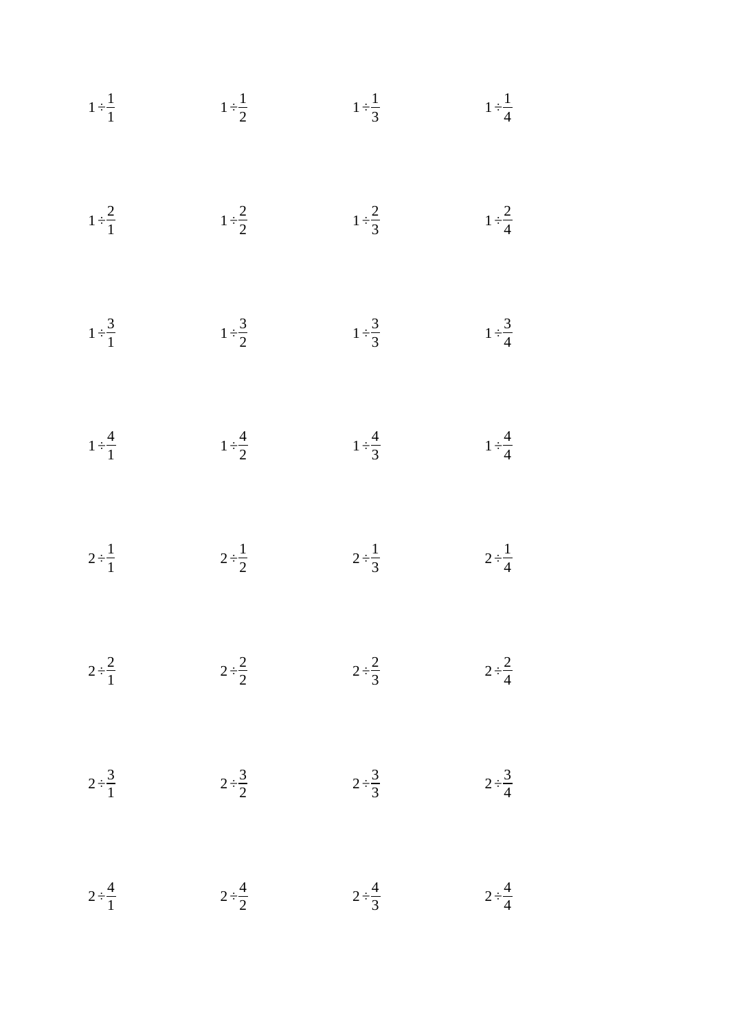$$
1 \div \frac{1}{1}
$$
\n
$$
1 \div \frac{1}{2}
$$
\n
$$
1 \div \frac{1}{3}
$$
\n
$$
1 \div \frac{1}{4}
$$
\n
$$
1 \div \frac{2}{2}
$$
\n
$$
1 \div \frac{3}{2}
$$
\n
$$
1 \div \frac{3}{2}
$$
\n
$$
1 \div \frac{3}{2}
$$
\n
$$
1 \div \frac{3}{2}
$$
\n
$$
1 \div \frac{3}{2}
$$
\n
$$
1 \div \frac{3}{2}
$$
\n
$$
1 \div \frac{3}{2}
$$
\n
$$
1 \div \frac{3}{2}
$$
\n
$$
1 \div \frac{3}{2}
$$
\n
$$
1 \div \frac{3}{2}
$$
\n
$$
1 \div \frac{3}{2}
$$
\n
$$
1 \div \frac{3}{2}
$$
\n
$$
1 \div \frac{3}{4}
$$
\n
$$
1 \div \frac{4}{4}
$$
\n
$$
2 \div \frac{1}{2}
$$
\n
$$
2 \div \frac{1}{2}
$$
\n
$$
2 \div \frac{1}{2}
$$
\n
$$
2 \div \frac{2}{3}
$$
\n
$$
2 \div \frac{2}{4}
$$
\n
$$
2 \div \frac{3}{2}
$$
\n
$$
2 \div \frac{3}{2}
$$
\n
$$
2 \div \frac{3}{2}
$$
\n
$$
2 \div \frac{3}{2}
$$
\n
$$
2 \div \frac{3}{2}
$$
\n
$$
2 \div \frac{3}{2}
$$
\n
$$
2 \div \frac{3}{2}
$$
\n
$$
2 \div \frac{4}{2}
$$
\n
$$
2 \div \frac{4}{2}
$$
\n
$$
2 \div \frac{4}{2}
$$
\n
$$
2 \div \frac{4}{2}
$$
\n
$$
2 \div \frac{4}{2}
$$
\n
$$
2 \div \frac{4}{2}
$$
\n
$$
2 \div \frac{4}{2}
$$
\n
$$
2 \div \frac{4}{2}
$$
\n
$$
2 \div \frac{4}{2}
$$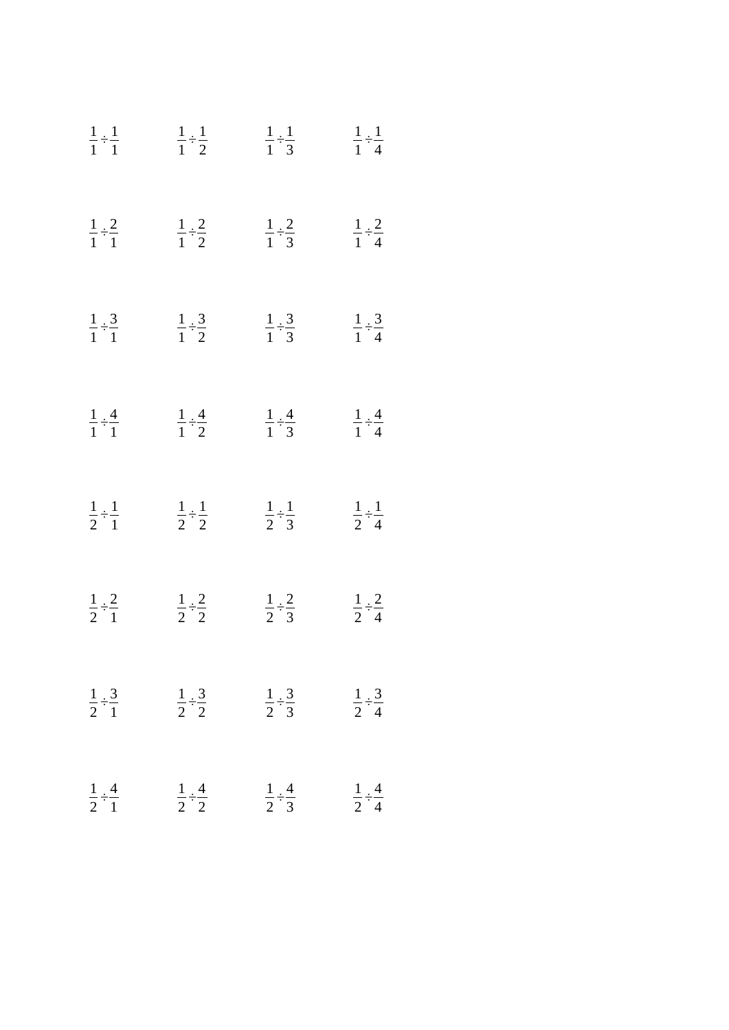| $\frac{1}{1} \div \frac{1}{1}$ | $\frac{1}{1} \div \frac{1}{2}$                                | $\frac{1}{1} \div \frac{1}{3}$ | $\frac{1}{1} \div \frac{1}{4}$ |
|--------------------------------|---------------------------------------------------------------|--------------------------------|--------------------------------|
| $rac{1}{1} \div \frac{2}{1}$   | $rac{1}{1} \div \frac{2}{2}$                                  | $rac{1}{1} \div \frac{2}{3}$   | $rac{1}{1} \div \frac{2}{4}$   |
| $\frac{1}{1} \div \frac{3}{1}$ | $rac{1}{1} \div \frac{3}{2}$                                  | $rac{1}{1} \div \frac{3}{3}$   | $rac{1}{1} \div \frac{3}{4}$   |
| $\frac{1}{1} \div \frac{4}{1}$ | $rac{1}{1} \div \frac{4}{2}$                                  | $rac{1}{1} \div \frac{4}{3}$   | $rac{1}{1} \div \frac{4}{4}$   |
| $\frac{1}{2} \div \frac{1}{1}$ | $rac{1}{2} \div \frac{1}{2}$                                  | $rac{1}{2} \div \frac{1}{3}$   | $rac{1}{2} \div \frac{1}{4}$   |
| $rac{1}{2} \div \frac{2}{1}$   | $rac{1}{2} \div \frac{2}{2}$                                  | $rac{1}{2} \div \frac{2}{3}$   | $rac{1}{2} \div \frac{2}{4}$   |
| $\frac{1}{2} \div \frac{3}{1}$ | $\frac{1}{2} \div \frac{3}{2}$                                | $rac{1}{2} \div \frac{3}{3}$   | $rac{1}{2} \div \frac{3}{4}$   |
| $\frac{1}{2} \div \frac{4}{1}$ | $\frac{1}{2} \div \frac{4}{2}$ $\frac{1}{2} \div \frac{4}{3}$ |                                | $\frac{1}{2} \div \frac{4}{4}$ |